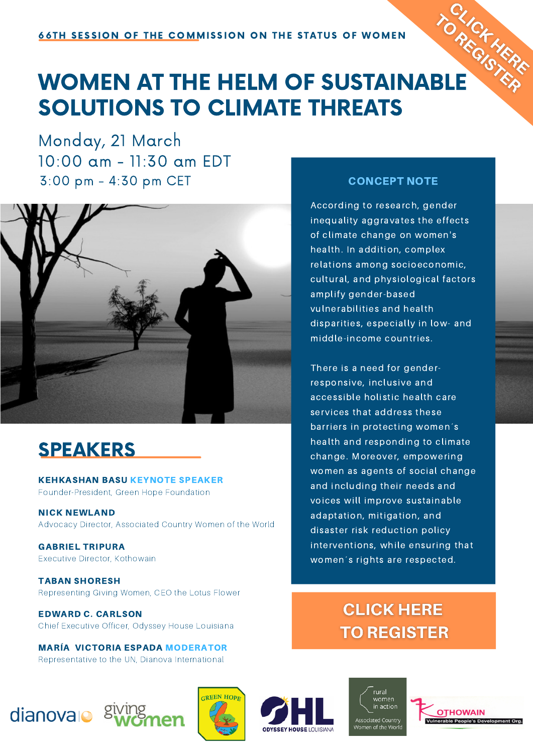

# **SATH SESSION OF THE COMMISSION ON THE STATUS V. ...** SOLUTIONS TO CLIMATE THREATS

Monday, 21 March 10:00 am - 11:30 am EDT 3:00 pm - 4:30 pm CET



## SPEAKERS

KEHKASHAN BASU KEYNOTE SPEAKER Founder-President, Green Hope Foundation

NICK NEWLAND Advocacy Director, Associated Country Women of the World

GABRIEL TRIPURA Executive Director, Kothowain

TABAN SHORESH Representing Giving Women, CEO the Lotus Flower

EDWARD C. CARLSON Chief Executive Officer, Odyssey House Louisiana

MARÍA VICTORIA ESPADA MODERATOR Representative to the UN, Dianova International

### CONCEPT NOTE

According to research, gender inequality aggravates the effects of climate change on women's health. In addition, complex relations among socioeconomic, cultural, and physiological factors amplify gender-based vulnerabilities and health disparities, especially in low- and middle-income countries.

There is a need for genderresponsive, inclusive and accessible holistic health care services that address these barriers in protecting women´s health and responding to climate change. Moreover, empowering women as agents of social change and including their needs and voices will improve sustainable adaptation, mitigation, and disaster risk reduction policy interventions, while ensuring that women´s rights are respected.

## **CLICK HERE TO REGISTER**